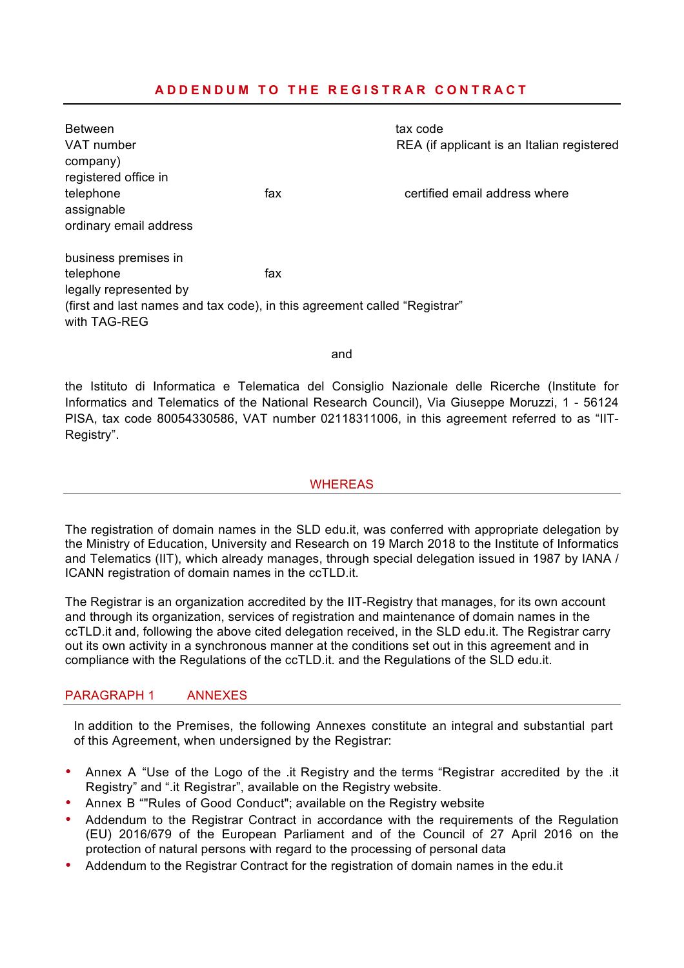# **ADDENDUM TO THE REGISTRAR CONTRACT**

| <b>Between</b><br>VAT number                                                              |     | tax code                                   |
|-------------------------------------------------------------------------------------------|-----|--------------------------------------------|
| company)                                                                                  |     | REA (if applicant is an Italian registered |
| registered office in                                                                      |     |                                            |
| telephone                                                                                 | fax | certified email address where              |
| assignable                                                                                |     |                                            |
| ordinary email address                                                                    |     |                                            |
| business premises in                                                                      |     |                                            |
| telephone                                                                                 | fax |                                            |
| legally represented by                                                                    |     |                                            |
| (first and last names and tax code), in this agreement called "Registrar"<br>with TAG-REG |     |                                            |
|                                                                                           |     |                                            |
| and                                                                                       |     |                                            |

the Istituto di Informatica e Telematica del Consiglio Nazionale delle Ricerche (Institute for Informatics and Telematics of the National Research Council), Via Giuseppe Moruzzi, 1 - 56124 PISA, tax code 80054330586, VAT number 02118311006, in this agreement referred to as "IIT-Registry".

### WHEREAS

The registration of domain names in the SLD edu.it, was conferred with appropriate delegation by the Ministry of Education, University and Research on 19 March 2018 to the Institute of Informatics and Telematics (IIT), which already manages, through special delegation issued in 1987 by IANA / ICANN registration of domain names in the ccTLD.it.

The Registrar is an organization accredited by the IIT-Registry that manages, for its own account and through its organization, services of registration and maintenance of domain names in the ccTLD.it and, following the above cited delegation received, in the SLD edu.it. The Registrar carry out its own activity in a synchronous manner at the conditions set out in this agreement and in compliance with the Regulations of the ccTLD.it. and the Regulations of the SLD edu.it.

## PARAGRAPH 1 ANNEXES

In addition to the Premises, the following Annexes constitute an integral and substantial part of this Agreement, when undersigned by the Registrar:

- Annex A "Use of the Logo of the .it Registry and the terms "Registrar accredited by the .it Registry" and ".it Registrar", available on the Registry website.
- Annex B ""Rules of Good Conduct"; available on the Registry website
- Addendum to the Registrar Contract in accordance with the requirements of the Regulation (EU) 2016/679 of the European Parliament and of the Council of 27 April 2016 on the protection of natural persons with regard to the processing of personal data
- Addendum to the Registrar Contract for the registration of domain names in the edu.it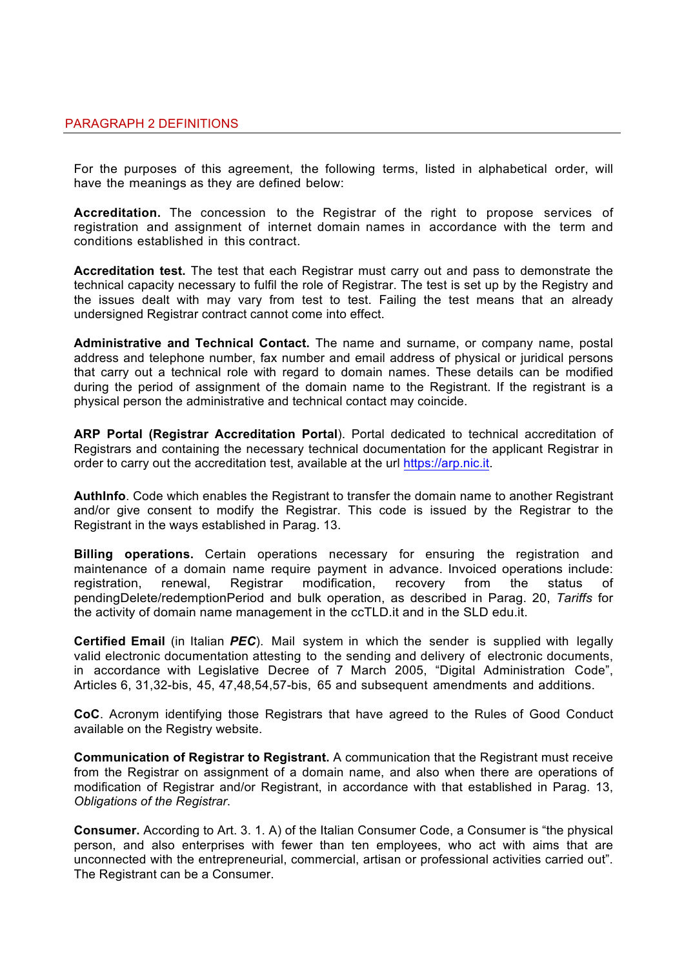For the purposes of this agreement, the following terms, listed in alphabetical order, will have the meanings as they are defined below:

**Accreditation.** The concession to the Registrar of the right to propose services of registration and assignment of internet domain names in accordance with the term and conditions established in this contract.

**Accreditation test.** The test that each Registrar must carry out and pass to demonstrate the technical capacity necessary to fulfil the role of Registrar. The test is set up by the Registry and the issues dealt with may vary from test to test. Failing the test means that an already undersigned Registrar contract cannot come into effect.

**Administrative and Technical Contact.** The name and surname, or company name, postal address and telephone number, fax number and email address of physical or juridical persons that carry out a technical role with regard to domain names. These details can be modified during the period of assignment of the domain name to the Registrant. If the registrant is a physical person the administrative and technical contact may coincide.

**ARP Portal (Registrar Accreditation Portal**). Portal dedicated to technical accreditation of Registrars and containing the necessary technical documentation for the applicant Registrar in order to carry out the accreditation test, available at the url https://arp.nic.it.

**AuthInfo**. Code which enables the Registrant to transfer the domain name to another Registrant and/or give consent to modify the Registrar. This code is issued by the Registrar to the Registrant in the ways established in Parag. 13.

**Billing operations.** Certain operations necessary for ensuring the registration and maintenance of a domain name require payment in advance. Invoiced operations include: registration, renewal, Registrar modification, recovery from the status of pendingDelete/redemptionPeriod and bulk operation, as described in Parag. 20, *Tariffs* for the activity of domain name management in the ccTLD.it and in the SLD edu.it.

**Certified Email** (in Italian *PEC*). Mail system in which the sender is supplied with legally valid electronic documentation attesting to the sending and delivery of electronic documents, in accordance with Legislative Decree of 7 March 2005, "Digital Administration Code", Articles 6, 31,32-bis, 45, 47,48,54,57-bis, 65 and subsequent amendments and additions.

**CoC**. Acronym identifying those Registrars that have agreed to the Rules of Good Conduct available on the Registry website.

**Communication of Registrar to Registrant.** A communication that the Registrant must receive from the Registrar on assignment of a domain name, and also when there are operations of modification of Registrar and/or Registrant, in accordance with that established in Parag. 13, *Obligations of the Registrar*.

**Consumer.** According to Art. 3. 1. A) of the Italian Consumer Code, a Consumer is "the physical person, and also enterprises with fewer than ten employees, who act with aims that are unconnected with the entrepreneurial, commercial, artisan or professional activities carried out". The Registrant can be a Consumer.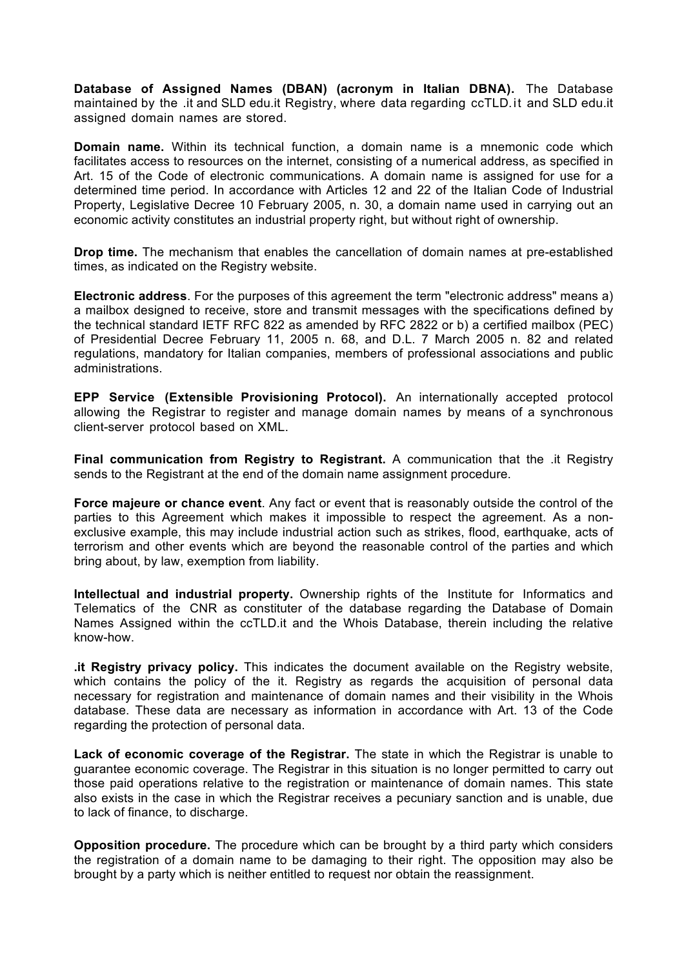**Database of Assigned Names (DBAN) (acronym in Italian DBNA).** The Database maintained by the .it and SLD edu.it Registry, where data regarding ccTLD.it and SLD edu.it assigned domain names are stored.

**Domain name.** Within its technical function, a domain name is a mnemonic code which facilitates access to resources on the internet, consisting of a numerical address, as specified in Art. 15 of the Code of electronic communications. A domain name is assigned for use for a determined time period. In accordance with Articles 12 and 22 of the Italian Code of Industrial Property, Legislative Decree 10 February 2005, n. 30, a domain name used in carrying out an economic activity constitutes an industrial property right, but without right of ownership.

**Drop time.** The mechanism that enables the cancellation of domain names at pre-established times, as indicated on the Registry website.

**Electronic address**. For the purposes of this agreement the term "electronic address" means a) a mailbox designed to receive, store and transmit messages with the specifications defined by the technical standard IETF RFC 822 as amended by RFC 2822 or b) a certified mailbox (PEC) of Presidential Decree February 11, 2005 n. 68, and D.L. 7 March 2005 n. 82 and related regulations, mandatory for Italian companies, members of professional associations and public administrations.

**EPP Service (Extensible Provisioning Protocol).** An internationally accepted protocol allowing the Registrar to register and manage domain names by means of a synchronous client-server protocol based on XML.

**Final communication from Registry to Registrant.** A communication that the .it Registry sends to the Registrant at the end of the domain name assignment procedure.

**Force majeure or chance event**. Any fact or event that is reasonably outside the control of the parties to this Agreement which makes it impossible to respect the agreement. As a nonexclusive example, this may include industrial action such as strikes, flood, earthquake, acts of terrorism and other events which are beyond the reasonable control of the parties and which bring about, by law, exemption from liability.

**Intellectual and industrial property.** Ownership rights of the Institute for Informatics and Telematics of the CNR as constituter of the database regarding the Database of Domain Names Assigned within the ccTLD.it and the Whois Database, therein including the relative know-how.

**.it Registry privacy policy.** This indicates the document available on the Registry website, which contains the policy of the it. Registry as regards the acquisition of personal data necessary for registration and maintenance of domain names and their visibility in the Whois database. These data are necessary as information in accordance with Art. 13 of the Code regarding the protection of personal data.

**Lack of economic coverage of the Registrar.** The state in which the Registrar is unable to guarantee economic coverage. The Registrar in this situation is no longer permitted to carry out those paid operations relative to the registration or maintenance of domain names. This state also exists in the case in which the Registrar receives a pecuniary sanction and is unable, due to lack of finance, to discharge.

**Opposition procedure.** The procedure which can be brought by a third party which considers the registration of a domain name to be damaging to their right. The opposition may also be brought by a party which is neither entitled to request nor obtain the reassignment.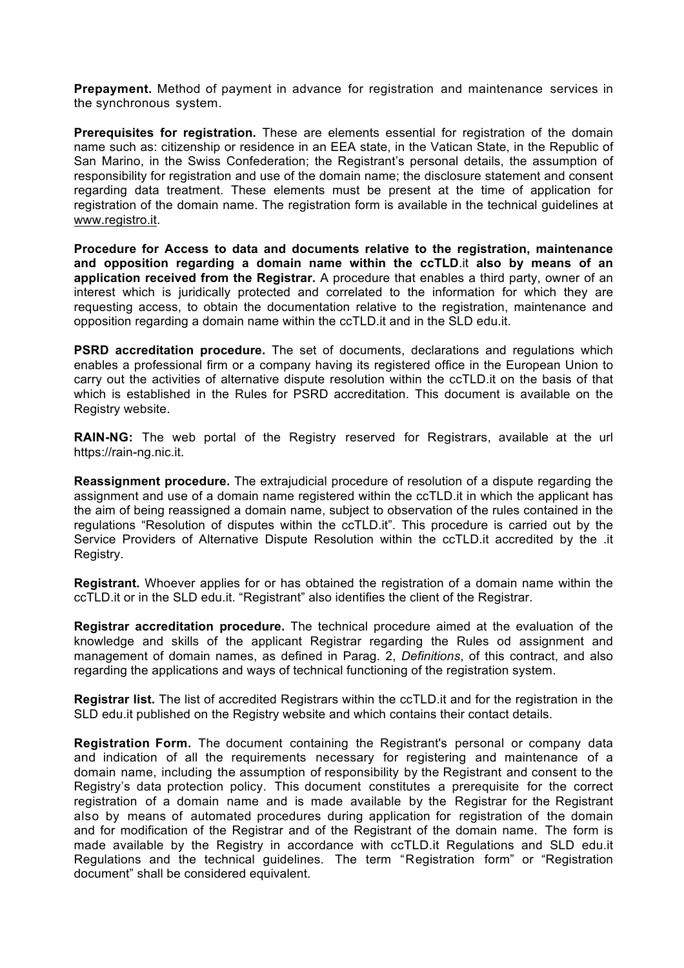**Prepayment.** Method of payment in advance for registration and maintenance services in the synchronous system.

**Prerequisites for registration.** These are elements essential for registration of the domain name such as: citizenship or residence in an EEA state, in the Vatican State, in the Republic of San Marino, in the Swiss Confederation; the Registrant's personal details, the assumption of responsibility for registration and use of the domain name; the disclosure statement and consent regarding data treatment. These elements must be present at the time of application for registration of the domain name. The registration form is available in the technical guidelines at www.registro.it.

**Procedure for Access to data and documents relative to the registration, maintenance and opposition regarding a domain name within the ccTLD**.it **also by means of an application received from the Registrar.** A procedure that enables a third party, owner of an interest which is juridically protected and correlated to the information for which they are requesting access, to obtain the documentation relative to the registration, maintenance and opposition regarding a domain name within the ccTLD.it and in the SLD edu.it.

**PSRD accreditation procedure.** The set of documents, declarations and regulations which enables a professional firm or a company having its registered office in the European Union to carry out the activities of alternative dispute resolution within the ccTLD.it on the basis of that which is established in the Rules for PSRD accreditation. This document is available on the Registry website.

**RAIN-NG:** The web portal of the Registry reserved for Registrars, available at the url https://rain-ng.nic.it.

**Reassignment procedure.** The extrajudicial procedure of resolution of a dispute regarding the assignment and use of a domain name registered within the ccTLD.it in which the applicant has the aim of being reassigned a domain name, subject to observation of the rules contained in the regulations "Resolution of disputes within the ccTLD.it". This procedure is carried out by the Service Providers of Alternative Dispute Resolution within the ccTLD.it accredited by the .it Registry.

**Registrant.** Whoever applies for or has obtained the registration of a domain name within the ccTLD.it or in the SLD edu.it. "Registrant" also identifies the client of the Registrar.

**Registrar accreditation procedure.** The technical procedure aimed at the evaluation of the knowledge and skills of the applicant Registrar regarding the Rules od assignment and management of domain names, as defined in Parag. 2, *Definitions*, of this contract, and also regarding the applications and ways of technical functioning of the registration system.

**Registrar list.** The list of accredited Registrars within the ccTLD.it and for the registration in the SLD edu.it published on the Registry website and which contains their contact details.

**Registration Form.** The document containing the Registrant's personal or company data and indication of all the requirements necessary for registering and maintenance of a domain name, including the assumption of responsibility by the Registrant and consent to the Registry's data protection policy. This document constitutes a prerequisite for the correct registration of a domain name and is made available by the Registrar for the Registrant also by means of automated procedures during application for registration of the domain and for modification of the Registrar and of the Registrant of the domain name. The form is made available by the Registry in accordance with ccTLD.it Regulations and SLD edu.it Regulations and the technical guidelines. The term "Registration form" or "Registration document" shall be considered equivalent.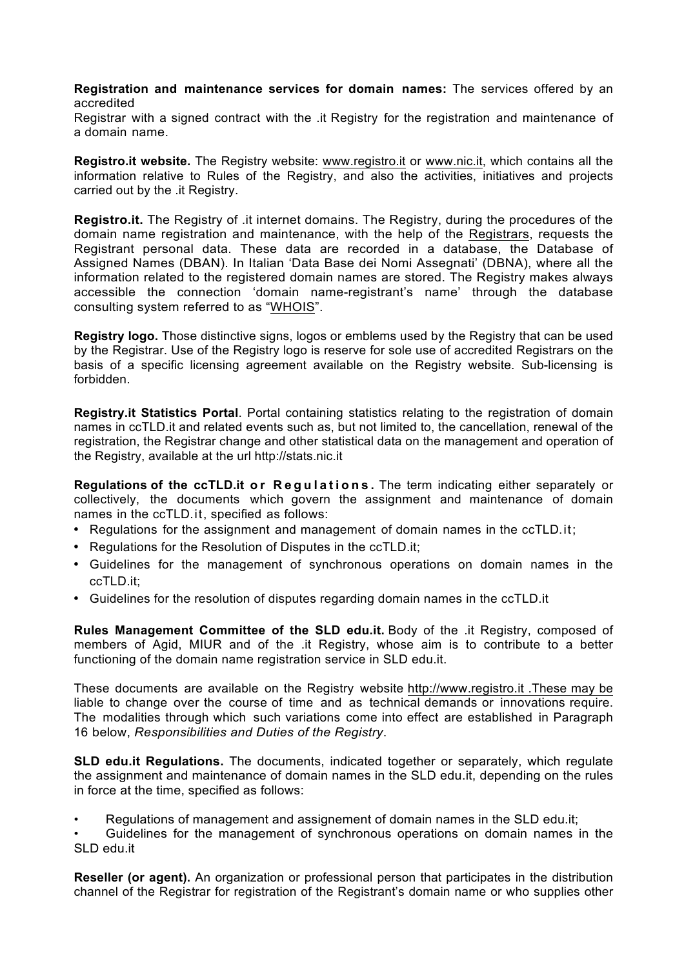**Registration and maintenance services for domain names:** The services offered by an accredited

Registrar with a signed contract with the .it Registry for the registration and maintenance of a domain name.

**Registro.it website.** The Registry website: www.registro.it or www.nic.it, which contains all the information relative to Rules of the Registry, and also the activities, initiatives and projects carried out by the .it Registry.

**Registro.it.** The Registry of .it internet domains. The Registry, during the procedures of the domain name registration and maintenance, with the help of the Registrars, requests the Registrant personal data. These data are recorded in a database, the Database of Assigned Names (DBAN). In Italian 'Data Base dei Nomi Assegnati' (DBNA), where all the information related to the registered domain names are stored. The Registry makes always accessible the connection 'domain name-registrant's name' through the database consulting system referred to as "WHOIS".

**Registry logo.** Those distinctive signs, logos or emblems used by the Registry that can be used by the Registrar. Use of the Registry logo is reserve for sole use of accredited Registrars on the basis of a specific licensing agreement available on the Registry website. Sub-licensing is forbidden.

**Registry.it Statistics Portal**. Portal containing statistics relating to the registration of domain names in ccTLD.it and related events such as, but not limited to, the cancellation, renewal of the registration, the Registrar change and other statistical data on the management and operation of the Registry, available at the url http://stats.nic.it

**Regulations of the ccTLD.it or Regulations .** The term indicating either separately or collectively, the documents which govern the assignment and maintenance of domain names in the ccTLD.it, specified as follows:

- Regulations for the assignment and management of domain names in the ccTLD.it;
- Regulations for the Resolution of Disputes in the ccTLD.it;
- Guidelines for the management of synchronous operations on domain names in the ccTLD.it;
- Guidelines for the resolution of disputes regarding domain names in the ccTLD.it

**Rules Management Committee of the SLD edu.it.** Body of the .it Registry, composed of members of Agid, MIUR and of the .it Registry, whose aim is to contribute to a better functioning of the domain name registration service in SLD edu.it.

These documents are available on the Registry website http://www.registro.it .These may be liable to change over the course of time and as technical demands or innovations require. The modalities through which such variations come into effect are established in Paragraph 16 below, *Responsibilities and Duties of the Registry*.

**SLD edu.it Regulations.** The documents, indicated together or separately, which regulate the assignment and maintenance of domain names in the SLD edu.it, depending on the rules in force at the time, specified as follows:

• Regulations of management and assignement of domain names in the SLD edu.it;

• Guidelines for the management of synchronous operations on domain names in the SLD edu.it

**Reseller (or agent).** An organization or professional person that participates in the distribution channel of the Registrar for registration of the Registrant's domain name or who supplies other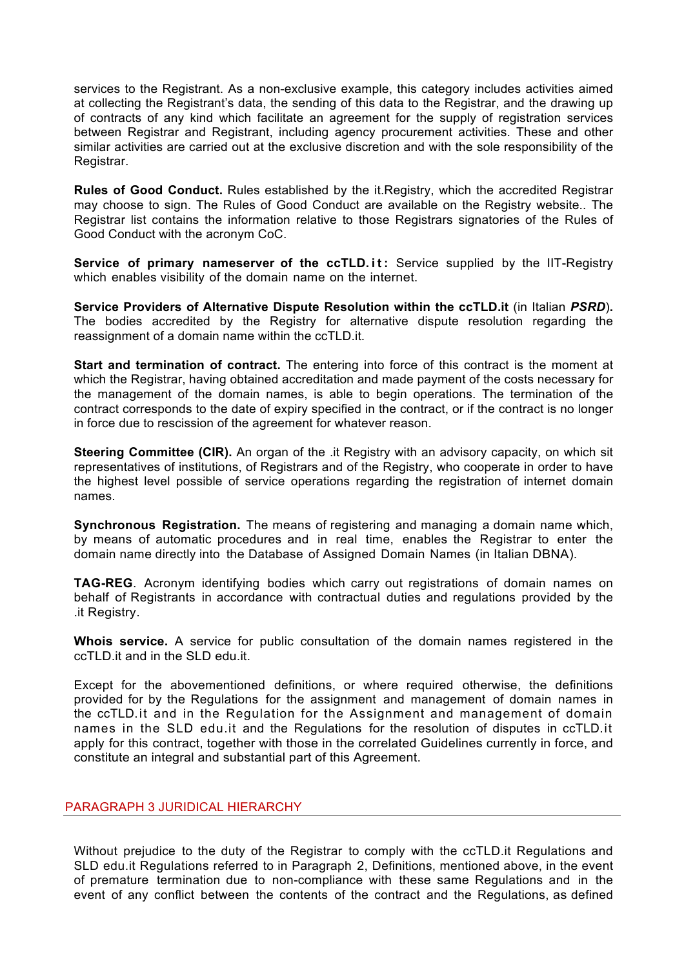services to the Registrant. As a non-exclusive example, this category includes activities aimed at collecting the Registrant's data, the sending of this data to the Registrar, and the drawing up of contracts of any kind which facilitate an agreement for the supply of registration services between Registrar and Registrant, including agency procurement activities. These and other similar activities are carried out at the exclusive discretion and with the sole responsibility of the Registrar.

**Rules of Good Conduct.** Rules established by the it.Registry, which the accredited Registrar may choose to sign. The Rules of Good Conduct are available on the Registry website.. The Registrar list contains the information relative to those Registrars signatories of the Rules of Good Conduct with the acronym CoC.

**Service of primary nameserver of the ccTLD.it :** Service supplied by the IIT-Registry which enables visibility of the domain name on the internet.

**Service Providers of Alternative Dispute Resolution within the ccTLD.it** (in Italian *PSRD*)**.** The bodies accredited by the Registry for alternative dispute resolution regarding the reassignment of a domain name within the ccTLD.it.

**Start and termination of contract.** The entering into force of this contract is the moment at which the Registrar, having obtained accreditation and made payment of the costs necessary for the management of the domain names, is able to begin operations. The termination of the contract corresponds to the date of expiry specified in the contract, or if the contract is no longer in force due to rescission of the agreement for whatever reason.

**Steering Committee (CIR).** An organ of the .it Registry with an advisory capacity, on which sit representatives of institutions, of Registrars and of the Registry, who cooperate in order to have the highest level possible of service operations regarding the registration of internet domain names.

**Synchronous Registration.** The means of registering and managing a domain name which, by means of automatic procedures and in real time, enables the Registrar to enter the domain name directly into the Database of Assigned Domain Names (in Italian DBNA).

**TAG-REG**. Acronym identifying bodies which carry out registrations of domain names on behalf of Registrants in accordance with contractual duties and regulations provided by the .it Registry.

**Whois service.** A service for public consultation of the domain names registered in the ccTLD.it and in the SLD edu.it.

Except for the abovementioned definitions, or where required otherwise, the definitions provided for by the Regulations for the assignment and management of domain names in the ccTLD.it and in the Regulation for the Assignment and management of domain names in the SLD edu.it and the Regulations for the resolution of disputes in ccTLD.it apply for this contract, together with those in the correlated Guidelines currently in force, and constitute an integral and substantial part of this Agreement.

## PARAGRAPH 3 JURIDICAL HIERARCHY

Without prejudice to the duty of the Registrar to comply with the ccTLD.it Regulations and SLD edu.it Regulations referred to in Paragraph 2, Definitions, mentioned above, in the event of premature termination due to non-compliance with these same Regulations and in the event of any conflict between the contents of the contract and the Regulations, as defined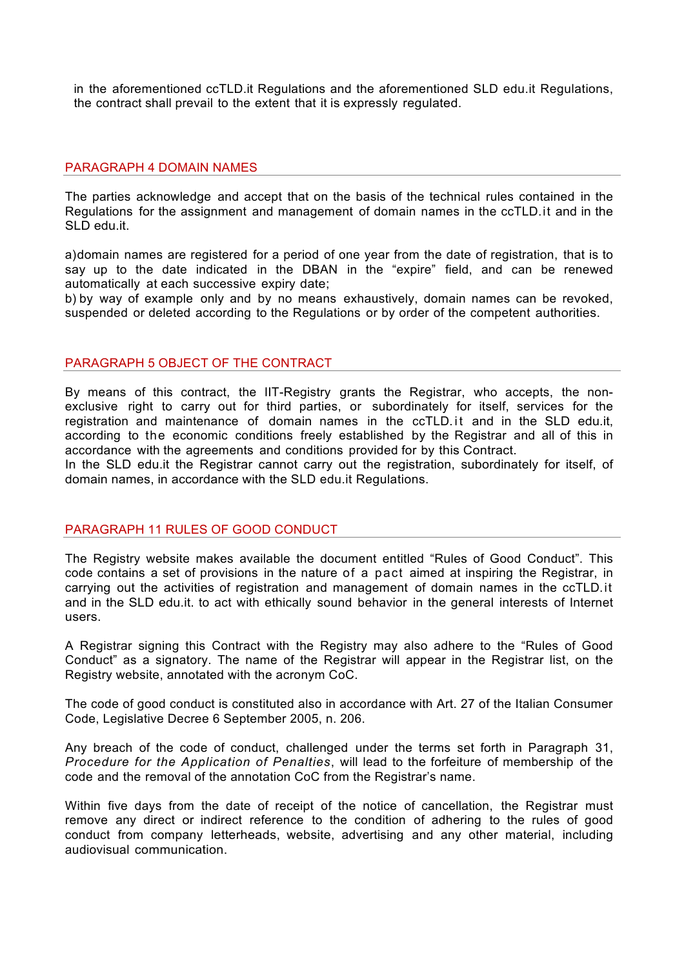in the aforementioned ccTLD.it Regulations and the aforementioned SLD edu.it Regulations, the contract shall prevail to the extent that it is expressly regulated.

#### PARAGRAPH 4 DOMAIN NAMES

The parties acknowledge and accept that on the basis of the technical rules contained in the Regulations for the assignment and management of domain names in the ccTLD.it and in the SLD edu.it.

a)domain names are registered for a period of one year from the date of registration, that is to say up to the date indicated in the DBAN in the "expire" field, and can be renewed automatically at each successive expiry date;

b) by way of example only and by no means exhaustively, domain names can be revoked, suspended or deleted according to the Regulations or by order of the competent authorities.

#### PARAGRAPH 5 OBJECT OF THE CONTRACT

By means of this contract, the IIT-Registry grants the Registrar, who accepts, the nonexclusive right to carry out for third parties, or subordinately for itself, services for the registration and maintenance of domain names in the ccTLD.it and in the SLD edu.it, according to the economic conditions freely established by the Registrar and all of this in accordance with the agreements and conditions provided for by this Contract.

In the SLD edu.it the Registrar cannot carry out the registration, subordinately for itself, of domain names, in accordance with the SLD edu.it Regulations.

### PARAGRAPH 11 RULES OF GOOD CONDUCT

The Registry website makes available the document entitled "Rules of Good Conduct". This code contains a set of provisions in the nature of a pact aimed at inspiring the Registrar, in carrying out the activities of registration and management of domain names in the ccTLD.it and in the SLD edu.it. to act with ethically sound behavior in the general interests of Internet users.

A Registrar signing this Contract with the Registry may also adhere to the "Rules of Good Conduct" as a signatory. The name of the Registrar will appear in the Registrar list, on the Registry website, annotated with the acronym CoC.

The code of good conduct is constituted also in accordance with Art. 27 of the Italian Consumer Code, Legislative Decree 6 September 2005, n. 206.

Any breach of the code of conduct, challenged under the terms set forth in Paragraph 31, *Procedure for the Application of Penalties*, will lead to the forfeiture of membership of the code and the removal of the annotation CoC from the Registrar's name.

Within five days from the date of receipt of the notice of cancellation, the Registrar must remove any direct or indirect reference to the condition of adhering to the rules of good conduct from company letterheads, website, advertising and any other material, including audiovisual communication.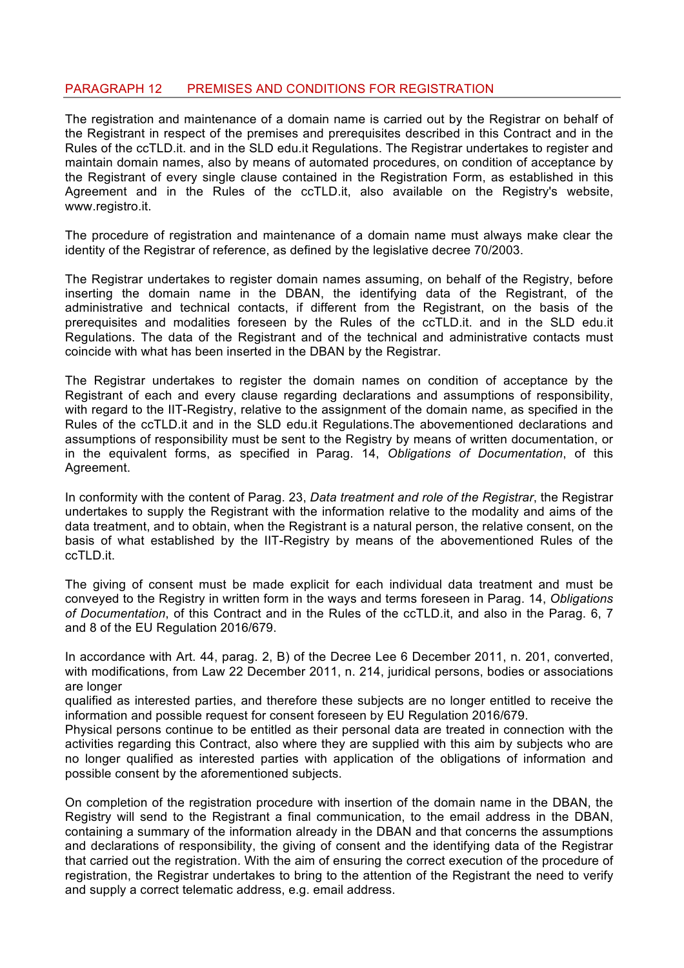## PARAGRAPH 12 PREMISES AND CONDITIONS FOR REGISTRATION

The registration and maintenance of a domain name is carried out by the Registrar on behalf of the Registrant in respect of the premises and prerequisites described in this Contract and in the Rules of the ccTLD.it. and in the SLD edu.it Regulations. The Registrar undertakes to register and maintain domain names, also by means of automated procedures, on condition of acceptance by the Registrant of every single clause contained in the Registration Form, as established in this Agreement and in the Rules of the ccTLD.it, also available on the Registry's website, www.registro.it.

The procedure of registration and maintenance of a domain name must always make clear the identity of the Registrar of reference, as defined by the legislative decree 70/2003.

The Registrar undertakes to register domain names assuming, on behalf of the Registry, before inserting the domain name in the DBAN, the identifying data of the Registrant, of the administrative and technical contacts, if different from the Registrant, on the basis of the prerequisites and modalities foreseen by the Rules of the ccTLD.it. and in the SLD edu.it Regulations. The data of the Registrant and of the technical and administrative contacts must coincide with what has been inserted in the DBAN by the Registrar.

The Registrar undertakes to register the domain names on condition of acceptance by the Registrant of each and every clause regarding declarations and assumptions of responsibility, with regard to the IIT-Registry, relative to the assignment of the domain name, as specified in the Rules of the ccTLD.it and in the SLD edu.it Regulations.The abovementioned declarations and assumptions of responsibility must be sent to the Registry by means of written documentation, or in the equivalent forms, as specified in Parag. 14, *Obligations of Documentation*, of this Agreement.

In conformity with the content of Parag. 23, *Data treatment and role of the Registrar*, the Registrar undertakes to supply the Registrant with the information relative to the modality and aims of the data treatment, and to obtain, when the Registrant is a natural person, the relative consent, on the basis of what established by the IIT-Registry by means of the abovementioned Rules of the ccTLD.it.

The giving of consent must be made explicit for each individual data treatment and must be conveyed to the Registry in written form in the ways and terms foreseen in Parag. 14, *Obligations of Documentation*, of this Contract and in the Rules of the ccTLD.it, and also in the Parag. 6, 7 and 8 of the EU Regulation 2016/679.

In accordance with Art. 44, parag. 2, B) of the Decree Lee 6 December 2011, n. 201, converted, with modifications, from Law 22 December 2011, n. 214, juridical persons, bodies or associations are longer

qualified as interested parties, and therefore these subjects are no longer entitled to receive the information and possible request for consent foreseen by EU Regulation 2016/679.

Physical persons continue to be entitled as their personal data are treated in connection with the activities regarding this Contract, also where they are supplied with this aim by subjects who are no longer qualified as interested parties with application of the obligations of information and possible consent by the aforementioned subjects.

On completion of the registration procedure with insertion of the domain name in the DBAN, the Registry will send to the Registrant a final communication, to the email address in the DBAN, containing a summary of the information already in the DBAN and that concerns the assumptions and declarations of responsibility, the giving of consent and the identifying data of the Registrar that carried out the registration. With the aim of ensuring the correct execution of the procedure of registration, the Registrar undertakes to bring to the attention of the Registrant the need to verify and supply a correct telematic address, e.g. email address.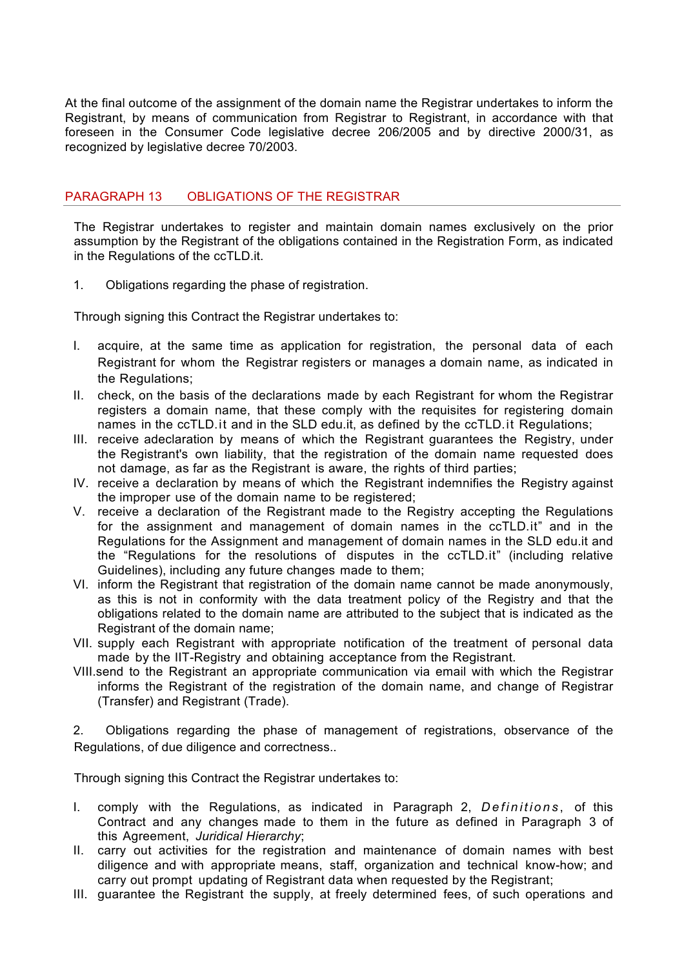At the final outcome of the assignment of the domain name the Registrar undertakes to inform the Registrant, by means of communication from Registrar to Registrant, in accordance with that foreseen in the Consumer Code legislative decree 206/2005 and by directive 2000/31, as recognized by legislative decree 70/2003.

### PARAGRAPH 13 OBLIGATIONS OF THE REGISTRAR

The Registrar undertakes to register and maintain domain names exclusively on the prior assumption by the Registrant of the obligations contained in the Registration Form, as indicated in the Regulations of the ccTLD.it.

1. Obligations regarding the phase of registration.

Through signing this Contract the Registrar undertakes to:

- I. acquire, at the same time as application for registration, the personal data of each Registrant for whom the Registrar registers or manages a domain name, as indicated in the Regulations;
- II. check, on the basis of the declarations made by each Registrant for whom the Registrar registers a domain name, that these comply with the requisites for registering domain names in the ccTLD.it and in the SLD edu.it, as defined by the ccTLD.it Regulations;
- III. receive adeclaration by means of which the Registrant guarantees the Registry, under the Registrant's own liability, that the registration of the domain name requested does not damage, as far as the Registrant is aware, the rights of third parties;
- IV. receive a declaration by means of which the Registrant indemnifies the Registry against the improper use of the domain name to be registered;
- V. receive a declaration of the Registrant made to the Registry accepting the Regulations for the assignment and management of domain names in the ccTLD.it" and in the Regulations for the Assignment and management of domain names in the SLD edu.it and the "Regulations for the resolutions of disputes in the ccTLD.it" (including relative Guidelines), including any future changes made to them;
- VI. inform the Registrant that registration of the domain name cannot be made anonymously, as this is not in conformity with the data treatment policy of the Registry and that the obligations related to the domain name are attributed to the subject that is indicated as the Registrant of the domain name;
- VII. supply each Registrant with appropriate notification of the treatment of personal data made by the IIT-Registry and obtaining acceptance from the Registrant.
- VIII.send to the Registrant an appropriate communication via email with which the Registrar informs the Registrant of the registration of the domain name, and change of Registrar (Transfer) and Registrant (Trade).

2. Obligations regarding the phase of management of registrations, observance of the Regulations, of due diligence and correctness..

Through signing this Contract the Registrar undertakes to:

- I. comply with the Regulations, as indicated in Paragraph 2, *Definitions* , of this Contract and any changes made to them in the future as defined in Paragraph 3 of this Agreement, *Juridical Hierarchy*;
- II. carry out activities for the registration and maintenance of domain names with best diligence and with appropriate means, staff, organization and technical know-how; and carry out prompt updating of Registrant data when requested by the Registrant;
- III. guarantee the Registrant the supply, at freely determined fees, of such operations and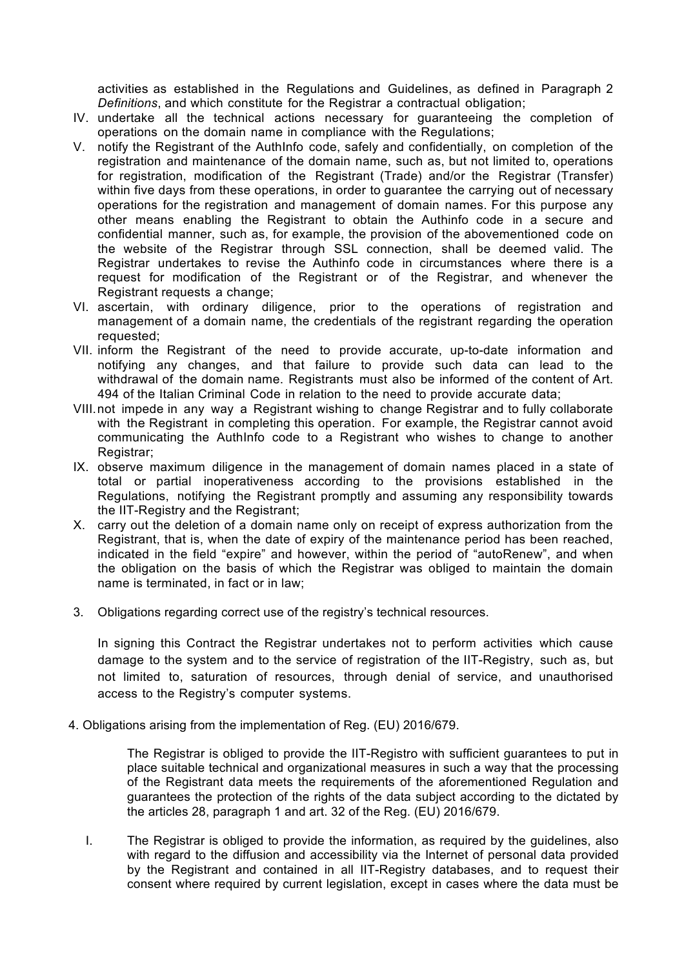activities as established in the Regulations and Guidelines, as defined in Paragraph 2 *Definitions*, and which constitute for the Registrar a contractual obligation;

- IV. undertake all the technical actions necessary for guaranteeing the completion of operations on the domain name in compliance with the Regulations;
- V. notify the Registrant of the AuthInfo code, safely and confidentially, on completion of the registration and maintenance of the domain name, such as, but not limited to, operations for registration, modification of the Registrant (Trade) and/or the Registrar (Transfer) within five days from these operations, in order to guarantee the carrying out of necessary operations for the registration and management of domain names. For this purpose any other means enabling the Registrant to obtain the Authinfo code in a secure and confidential manner, such as, for example, the provision of the abovementioned code on the website of the Registrar through SSL connection, shall be deemed valid. The Registrar undertakes to revise the Authinfo code in circumstances where there is a request for modification of the Registrant or of the Registrar, and whenever the Registrant requests a change;
- VI. ascertain, with ordinary diligence, prior to the operations of registration and management of a domain name, the credentials of the registrant regarding the operation requested;
- VII. inform the Registrant of the need to provide accurate, up-to-date information and notifying any changes, and that failure to provide such data can lead to the withdrawal of the domain name. Registrants must also be informed of the content of Art. 494 of the Italian Criminal Code in relation to the need to provide accurate data;
- VIII.not impede in any way a Registrant wishing to change Registrar and to fully collaborate with the Registrant in completing this operation. For example, the Registrar cannot avoid communicating the AuthInfo code to a Registrant who wishes to change to another Registrar:
- IX. observe maximum diligence in the management of domain names placed in a state of total or partial inoperativeness according to the provisions established in the Regulations, notifying the Registrant promptly and assuming any responsibility towards the IIT-Registry and the Registrant;
- X. carry out the deletion of a domain name only on receipt of express authorization from the Registrant, that is, when the date of expiry of the maintenance period has been reached, indicated in the field "expire" and however, within the period of "autoRenew", and when the obligation on the basis of which the Registrar was obliged to maintain the domain name is terminated, in fact or in law;
- 3. Obligations regarding correct use of the registry's technical resources.

In signing this Contract the Registrar undertakes not to perform activities which cause damage to the system and to the service of registration of the IIT-Registry, such as, but not limited to, saturation of resources, through denial of service, and unauthorised access to the Registry's computer systems.

4. Obligations arising from the implementation of Reg. (EU) 2016/679.

The Registrar is obliged to provide the IIT-Registro with sufficient guarantees to put in place suitable technical and organizational measures in such a way that the processing of the Registrant data meets the requirements of the aforementioned Regulation and guarantees the protection of the rights of the data subject according to the dictated by the articles 28, paragraph 1 and art. 32 of the Reg. (EU) 2016/679.

I. The Registrar is obliged to provide the information, as required by the guidelines, also with regard to the diffusion and accessibility via the Internet of personal data provided by the Registrant and contained in all IIT-Registry databases, and to request their consent where required by current legislation, except in cases where the data must be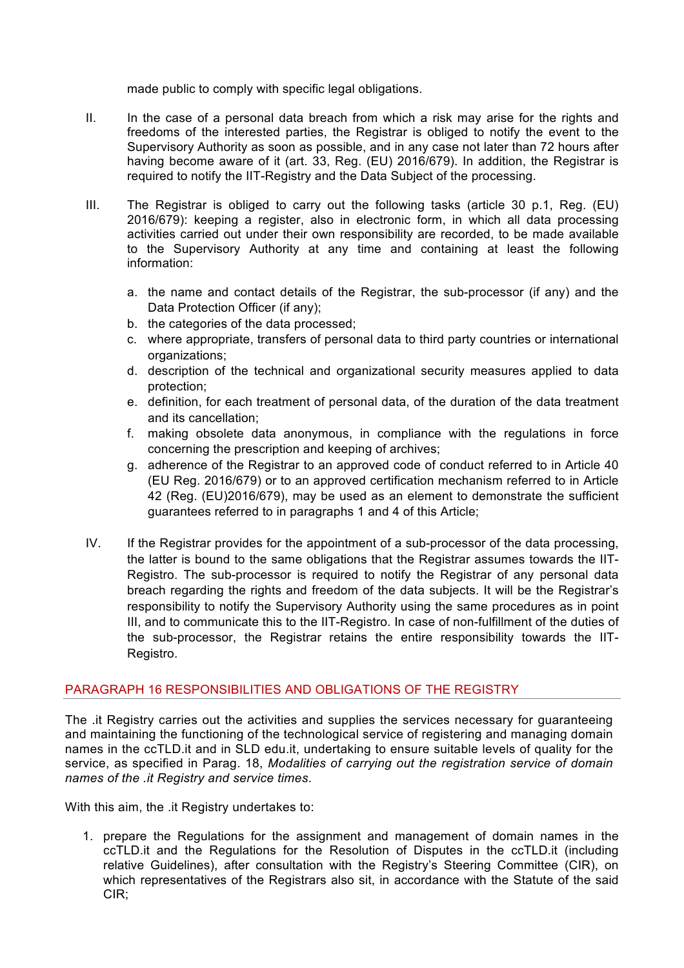made public to comply with specific legal obligations.

- II. In the case of a personal data breach from which a risk may arise for the rights and freedoms of the interested parties, the Registrar is obliged to notify the event to the Supervisory Authority as soon as possible, and in any case not later than 72 hours after having become aware of it (art. 33, Reg. (EU) 2016/679). In addition, the Registrar is required to notify the IIT-Registry and the Data Subject of the processing.
- III. The Registrar is obliged to carry out the following tasks (article 30 p.1, Reg. (EU) 2016/679): keeping a register, also in electronic form, in which all data processing activities carried out under their own responsibility are recorded, to be made available to the Supervisory Authority at any time and containing at least the following information:
	- a. the name and contact details of the Registrar, the sub-processor (if any) and the Data Protection Officer (if any);
	- b. the categories of the data processed;
	- c. where appropriate, transfers of personal data to third party countries or international organizations;
	- d. description of the technical and organizational security measures applied to data protection;
	- e. definition, for each treatment of personal data, of the duration of the data treatment and its cancellation;
	- f. making obsolete data anonymous, in compliance with the regulations in force concerning the prescription and keeping of archives;
	- g. adherence of the Registrar to an approved code of conduct referred to in Article 40 (EU Reg. 2016/679) or to an approved certification mechanism referred to in Article 42 (Reg. (EU)2016/679), may be used as an element to demonstrate the sufficient guarantees referred to in paragraphs 1 and 4 of this Article;
- IV. If the Registrar provides for the appointment of a sub-processor of the data processing, the latter is bound to the same obligations that the Registrar assumes towards the IIT-Registro. The sub-processor is required to notify the Registrar of any personal data breach regarding the rights and freedom of the data subjects. It will be the Registrar's responsibility to notify the Supervisory Authority using the same procedures as in point III, and to communicate this to the IIT-Registro. In case of non-fulfillment of the duties of the sub-processor, the Registrar retains the entire responsibility towards the IIT-Registro.

## PARAGRAPH 16 RESPONSIBILITIES AND OBLIGATIONS OF THE REGISTRY

The .it Registry carries out the activities and supplies the services necessary for guaranteeing and maintaining the functioning of the technological service of registering and managing domain names in the ccTLD.it and in SLD edu.it, undertaking to ensure suitable levels of quality for the service, as specified in Parag. 18, *Modalities of carrying out the registration service of domain names of the .it Registry and service times*.

With this aim, the .it Registry undertakes to:

1. prepare the Regulations for the assignment and management of domain names in the ccTLD.it and the Regulations for the Resolution of Disputes in the ccTLD.it (including relative Guidelines), after consultation with the Registry's Steering Committee (CIR), on which representatives of the Registrars also sit, in accordance with the Statute of the said CIR;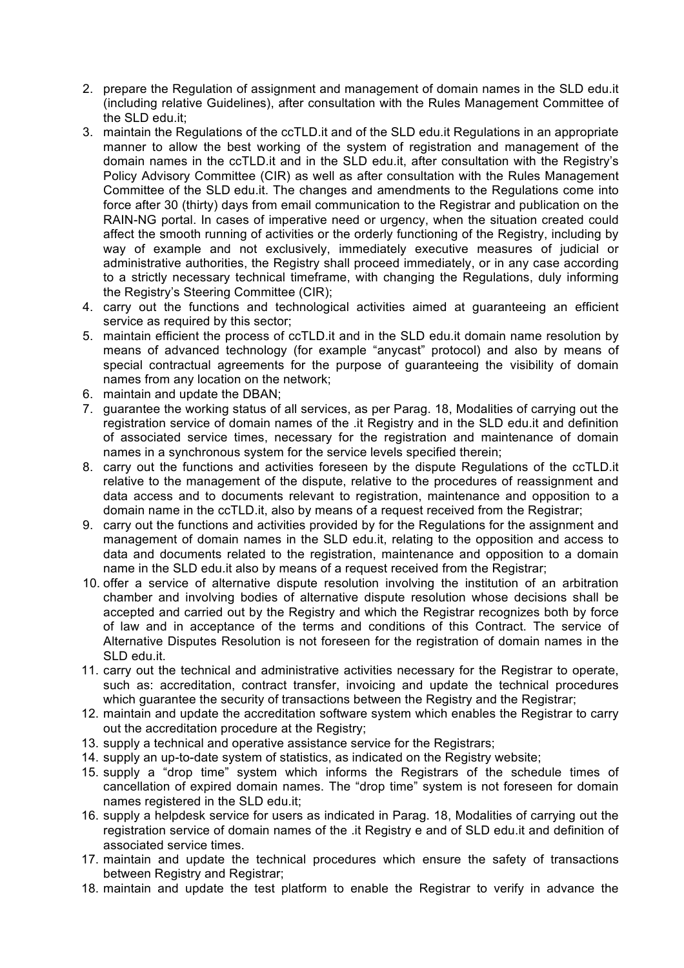- 2. prepare the Regulation of assignment and management of domain names in the SLD edu.it (including relative Guidelines), after consultation with the Rules Management Committee of the SLD edu.it;
- 3. maintain the Regulations of the ccTLD.it and of the SLD edu.it Regulations in an appropriate manner to allow the best working of the system of registration and management of the domain names in the ccTLD.it and in the SLD edu.it, after consultation with the Registry's Policy Advisory Committee (CIR) as well as after consultation with the Rules Management Committee of the SLD edu.it. The changes and amendments to the Regulations come into force after 30 (thirty) days from email communication to the Registrar and publication on the RAIN-NG portal. In cases of imperative need or urgency, when the situation created could affect the smooth running of activities or the orderly functioning of the Registry, including by way of example and not exclusively, immediately executive measures of judicial or administrative authorities, the Registry shall proceed immediately, or in any case according to a strictly necessary technical timeframe, with changing the Regulations, duly informing the Registry's Steering Committee (CIR);
- 4. carry out the functions and technological activities aimed at guaranteeing an efficient service as required by this sector;
- 5. maintain efficient the process of ccTLD.it and in the SLD edu.it domain name resolution by means of advanced technology (for example "anycast" protocol) and also by means of special contractual agreements for the purpose of guaranteeing the visibility of domain names from any location on the network;
- 6. maintain and update the DBAN;
- 7. guarantee the working status of all services, as per Parag. 18, Modalities of carrying out the registration service of domain names of the .it Registry and in the SLD edu.it and definition of associated service times, necessary for the registration and maintenance of domain names in a synchronous system for the service levels specified therein;
- 8. carry out the functions and activities foreseen by the dispute Regulations of the ccTLD.it relative to the management of the dispute, relative to the procedures of reassignment and data access and to documents relevant to registration, maintenance and opposition to a domain name in the ccTLD.it, also by means of a request received from the Registrar;
- 9. carry out the functions and activities provided by for the Regulations for the assignment and management of domain names in the SLD edu.it, relating to the opposition and access to data and documents related to the registration, maintenance and opposition to a domain name in the SLD edu.it also by means of a request received from the Registrar;
- 10. offer a service of alternative dispute resolution involving the institution of an arbitration chamber and involving bodies of alternative dispute resolution whose decisions shall be accepted and carried out by the Registry and which the Registrar recognizes both by force of law and in acceptance of the terms and conditions of this Contract. The service of Alternative Disputes Resolution is not foreseen for the registration of domain names in the SLD edu.it.
- 11. carry out the technical and administrative activities necessary for the Registrar to operate, such as: accreditation, contract transfer, invoicing and update the technical procedures which guarantee the security of transactions between the Registry and the Registrar;
- 12. maintain and update the accreditation software system which enables the Registrar to carry out the accreditation procedure at the Registry;
- 13. supply a technical and operative assistance service for the Registrars;
- 14. supply an up-to-date system of statistics, as indicated on the Registry website;
- 15. supply a "drop time" system which informs the Registrars of the schedule times of cancellation of expired domain names. The "drop time" system is not foreseen for domain names registered in the SLD edu.it;
- 16. supply a helpdesk service for users as indicated in Parag. 18, Modalities of carrying out the registration service of domain names of the .it Registry e and of SLD edu.it and definition of associated service times.
- 17. maintain and update the technical procedures which ensure the safety of transactions between Registry and Registrar;
- 18. maintain and update the test platform to enable the Registrar to verify in advance the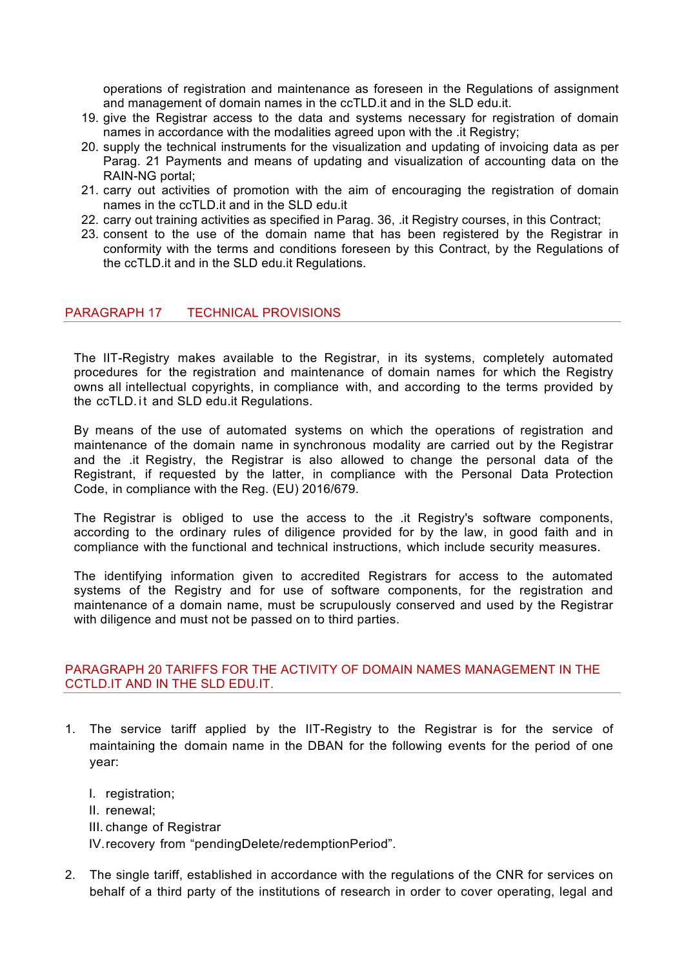operations of registration and maintenance as foreseen in the Regulations of assignment and management of domain names in the ccTLD.it and in the SLD edu.it.

- 19. give the Registrar access to the data and systems necessary for registration of domain names in accordance with the modalities agreed upon with the .it Registry;
- 20. supply the technical instruments for the visualization and updating of invoicing data as per Parag. 21 Payments and means of updating and visualization of accounting data on the RAIN-NG portal;
- 21. carry out activities of promotion with the aim of encouraging the registration of domain names in the ccTLD.it and in the SLD edu.it
- 22. carry out training activities as specified in Parag. 36, .it Registry courses, in this Contract;
- 23. consent to the use of the domain name that has been registered by the Registrar in conformity with the terms and conditions foreseen by this Contract, by the Regulations of the ccTLD.it and in the SLD edu.it Regulations.

### PARAGRAPH 17 TECHNICAL PROVISIONS

The IIT-Registry makes available to the Registrar, in its systems, completely automated procedures for the registration and maintenance of domain names for which the Registry owns all intellectual copyrights, in compliance with, and according to the terms provided by the ccTLD.it and SLD edu.it Regulations.

By means of the use of automated systems on which the operations of registration and maintenance of the domain name in synchronous modality are carried out by the Registrar and the .it Registry, the Registrar is also allowed to change the personal data of the Registrant, if requested by the latter, in compliance with the Personal Data Protection Code, in compliance with the Reg. (EU) 2016/679.

The Registrar is obliged to use the access to the .it Registry's software components, according to the ordinary rules of diligence provided for by the law, in good faith and in compliance with the functional and technical instructions, which include security measures.

The identifying information given to accredited Registrars for access to the automated systems of the Registry and for use of software components, for the registration and maintenance of a domain name, must be scrupulously conserved and used by the Registrar with diligence and must not be passed on to third parties.

## PARAGRAPH 20 TARIFFS FOR THE ACTIVITY OF DOMAIN NAMES MANAGEMENT IN THE CCTLD.IT AND IN THE SLD EDU.IT.

- 1. The service tariff applied by the IIT-Registry to the Registrar is for the service of maintaining the domain name in the DBAN for the following events for the period of one year:
	- I. registration;
	- II. renewal;
	- III. change of Registrar

IV.recovery from "pendingDelete/redemptionPeriod".

2. The single tariff, established in accordance with the regulations of the CNR for services on behalf of a third party of the institutions of research in order to cover operating, legal and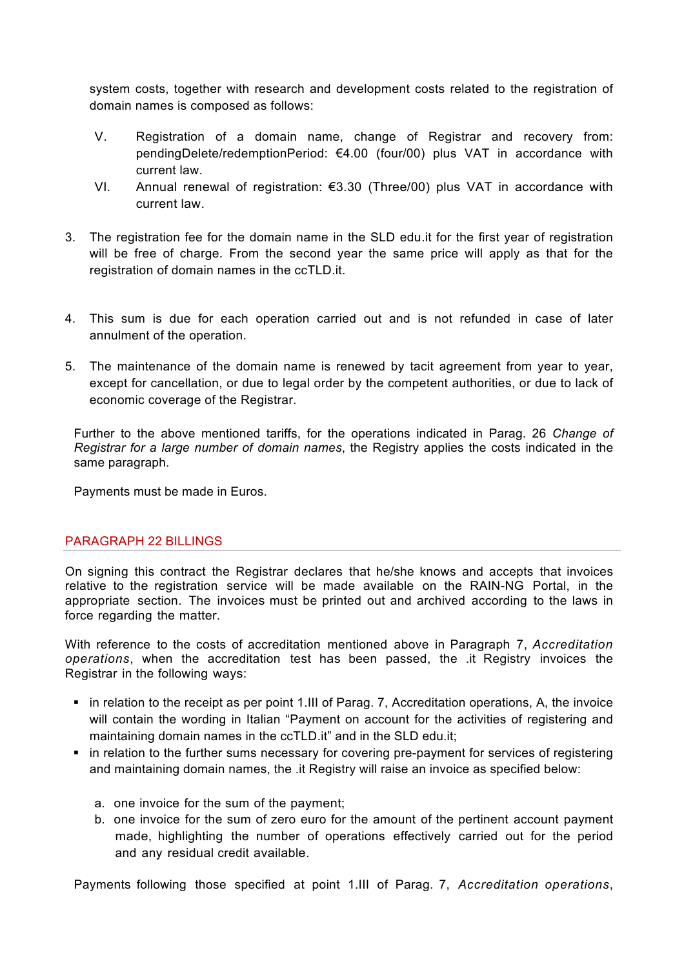system costs, together with research and development costs related to the registration of domain names is composed as follows:

- V. Registration of a domain name, change of Registrar and recovery from: pendingDelete/redemptionPeriod: €4.00 (four/00) plus VAT in accordance with current law.
- VI. Annual renewal of registration: €3.30 (Three/00) plus VAT in accordance with current law.
- 3. The registration fee for the domain name in the SLD edu.it for the first year of registration will be free of charge. From the second year the same price will apply as that for the registration of domain names in the ccTLD.it.
- 4. This sum is due for each operation carried out and is not refunded in case of later annulment of the operation.
- 5. The maintenance of the domain name is renewed by tacit agreement from year to year, except for cancellation, or due to legal order by the competent authorities, or due to lack of economic coverage of the Registrar.

Further to the above mentioned tariffs, for the operations indicated in Parag. 26 *Change of Registrar for a large number of domain names*, the Registry applies the costs indicated in the same paragraph.

Payments must be made in Euros.

## PARAGRAPH 22 BILLINGS

On signing this contract the Registrar declares that he/she knows and accepts that invoices relative to the registration service will be made available on the RAIN-NG Portal, in the appropriate section. The invoices must be printed out and archived according to the laws in force regarding the matter.

With reference to the costs of accreditation mentioned above in Paragraph 7, *Accreditation operations*, when the accreditation test has been passed, the .it Registry invoices the Registrar in the following ways:

- in relation to the receipt as per point 1.III of Parag. 7, Accreditation operations, A, the invoice will contain the wording in Italian "Payment on account for the activities of registering and maintaining domain names in the ccTLD.it" and in the SLD edu.it;
- in relation to the further sums necessary for covering pre-payment for services of registering and maintaining domain names, the .it Registry will raise an invoice as specified below:
	- a. one invoice for the sum of the payment;
	- b. one invoice for the sum of zero euro for the amount of the pertinent account payment made, highlighting the number of operations effectively carried out for the period and any residual credit available.

Payments following those specified at point 1.III of Parag. 7, *Accreditation operations*,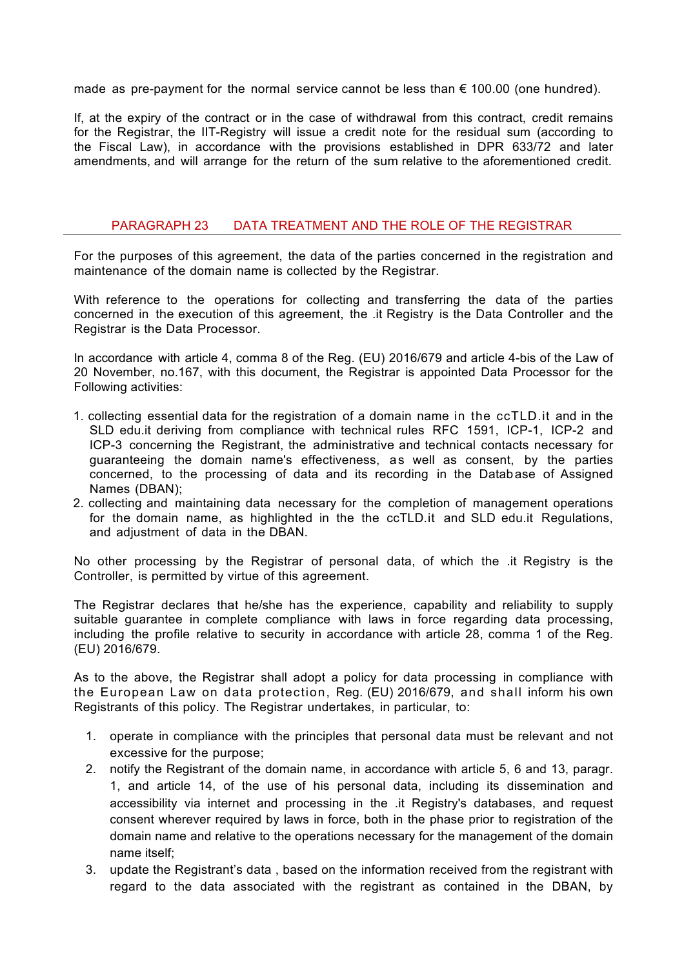made as pre-payment for the normal service cannot be less than  $\epsilon$  100.00 (one hundred).

If, at the expiry of the contract or in the case of withdrawal from this contract, credit remains for the Registrar, the IIT-Registry will issue a credit note for the residual sum (according to the Fiscal Law), in accordance with the provisions established in DPR 633/72 and later amendments, and will arrange for the return of the sum relative to the aforementioned credit.

### PARAGRAPH 23 DATA TREATMENT AND THE ROLE OF THE REGISTRAR

For the purposes of this agreement, the data of the parties concerned in the registration and maintenance of the domain name is collected by the Registrar.

With reference to the operations for collecting and transferring the data of the parties concerned in the execution of this agreement, the .it Registry is the Data Controller and the Registrar is the Data Processor.

In accordance with article 4, comma 8 of the Reg. (EU) 2016/679 and article 4-bis of the Law of 20 November, no.167, with this document, the Registrar is appointed Data Processor for the Following activities:

- 1. collecting essential data for the registration of a domain name in the ccTLD.it and in the SLD edu.it deriving from compliance with technical rules RFC 1591, ICP-1, ICP-2 and ICP-3 concerning the Registrant, the administrative and technical contacts necessary for guaranteeing the domain name's effectiveness, as well as consent, by the parties concerned, to the processing of data and its recording in the Datab ase of Assigned Names (DBAN);
- 2. collecting and maintaining data necessary for the completion of management operations for the domain name, as highlighted in the the ccTLD.it and SLD edu.it Regulations, and adjustment of data in the DBAN.

No other processing by the Registrar of personal data, of which the .it Registry is the Controller, is permitted by virtue of this agreement.

The Registrar declares that he/she has the experience, capability and reliability to supply suitable guarantee in complete compliance with laws in force regarding data processing, including the profile relative to security in accordance with article 28, comma 1 of the Reg. (EU) 2016/679.

As to the above, the Registrar shall adopt a policy for data processing in compliance with the European Law on data protection, Reg. (EU) 2016/679, and shall inform his own Registrants of this policy. The Registrar undertakes, in particular, to:

- 1. operate in compliance with the principles that personal data must be relevant and not excessive for the purpose;
- 2. notify the Registrant of the domain name, in accordance with article 5, 6 and 13, paragr. 1, and article 14, of the use of his personal data, including its dissemination and accessibility via internet and processing in the .it Registry's databases, and request consent wherever required by laws in force, both in the phase prior to registration of the domain name and relative to the operations necessary for the management of the domain name itself;
- 3. update the Registrant's data , based on the information received from the registrant with regard to the data associated with the registrant as contained in the DBAN, by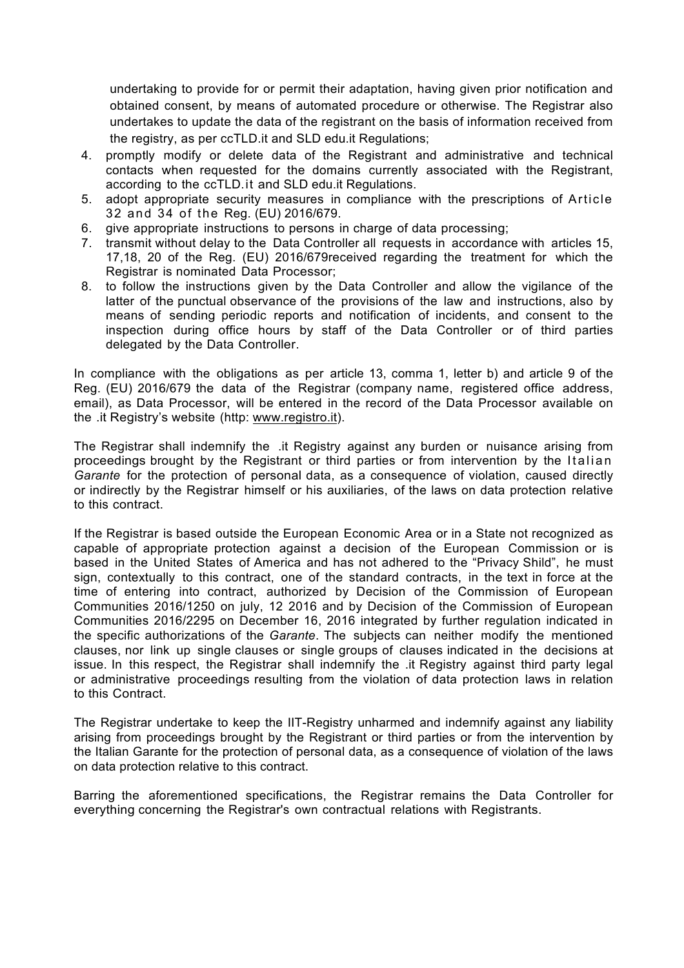undertaking to provide for or permit their adaptation, having given prior notification and obtained consent, by means of automated procedure or otherwise. The Registrar also undertakes to update the data of the registrant on the basis of information received from the registry, as per ccTLD.it and SLD edu.it Regulations;

- 4. promptly modify or delete data of the Registrant and administrative and technical contacts when requested for the domains currently associated with the Registrant, according to the ccTLD.it and SLD edu.it Regulations.
- 5. adopt appropriate security measures in compliance with the prescriptions of Article 32 and 34 of the Reg. (EU) 2016/679.
- 6. give appropriate instructions to persons in charge of data processing;
- 7. transmit without delay to the Data Controller all requests in accordance with articles 15, 17,18, 20 of the Reg. (EU) 2016/679received regarding the treatment for which the Registrar is nominated Data Processor;
- 8. to follow the instructions given by the Data Controller and allow the vigilance of the latter of the punctual observance of the provisions of the law and instructions, also by means of sending periodic reports and notification of incidents, and consent to the inspection during office hours by staff of the Data Controller or of third parties delegated by the Data Controller.

In compliance with the obligations as per article 13, comma 1, letter b) and article 9 of the Reg. (EU) 2016/679 the data of the Registrar (company name, registered office address, email), as Data Processor, will be entered in the record of the Data Processor available on the .it Registry's website (http: www.registro.it).

The Registrar shall indemnify the .it Registry against any burden or nuisance arising from proceedings brought by the Registrant or third parties or from intervention by the Italian *Garante* for the protection of personal data, as a consequence of violation, caused directly or indirectly by the Registrar himself or his auxiliaries, of the laws on data protection relative to this contract.

If the Registrar is based outside the European Economic Area or in a State not recognized as capable of appropriate protection against a decision of the European Commission or is based in the United States of America and has not adhered to the "Privacy Shild", he must sign, contextually to this contract, one of the standard contracts, in the text in force at the time of entering into contract, authorized by Decision of the Commission of European Communities 2016/1250 on july, 12 2016 and by Decision of the Commission of European Communities 2016/2295 on December 16, 2016 integrated by further regulation indicated in the specific authorizations of the *Garante*. The subjects can neither modify the mentioned clauses, nor link up single clauses or single groups of clauses indicated in the decisions at issue. In this respect, the Registrar shall indemnify the .it Registry against third party legal or administrative proceedings resulting from the violation of data protection laws in relation to this Contract.

The Registrar undertake to keep the IIT-Registry unharmed and indemnify against any liability arising from proceedings brought by the Registrant or third parties or from the intervention by the Italian Garante for the protection of personal data, as a consequence of violation of the laws on data protection relative to this contract.

Barring the aforementioned specifications, the Registrar remains the Data Controller for everything concerning the Registrar's own contractual relations with Registrants.